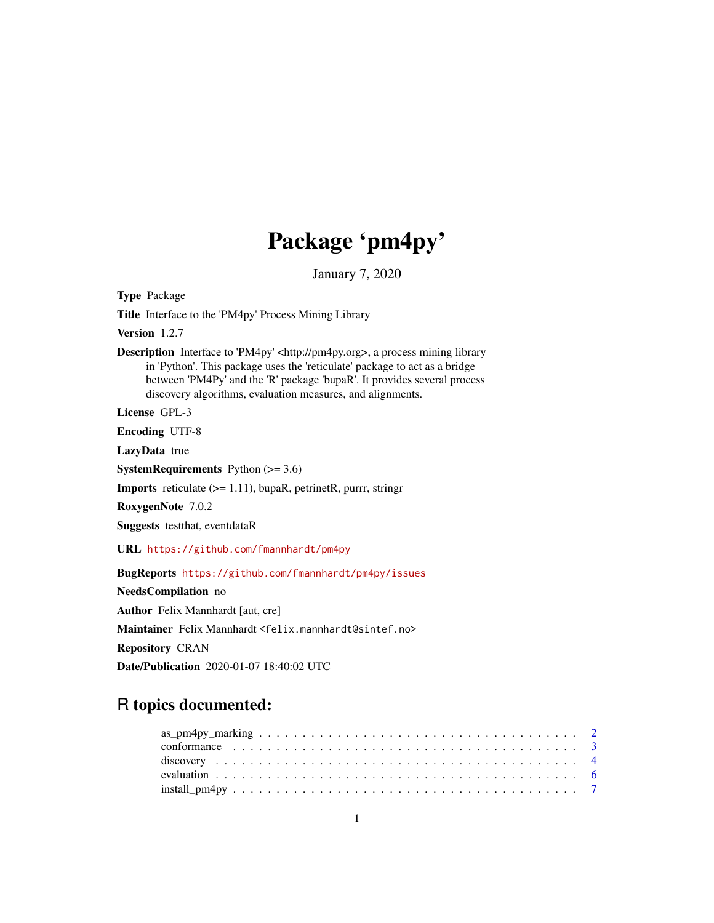# Package 'pm4py'

January 7, 2020

<span id="page-0-0"></span>Type Package

Title Interface to the 'PM4py' Process Mining Library

Version 1.2.7

Description Interface to 'PM4py' <http://pm4py.org>, a process mining library in 'Python'. This package uses the 'reticulate' package to act as a bridge between 'PM4Py' and the 'R' package 'bupaR'. It provides several process discovery algorithms, evaluation measures, and alignments.

License GPL-3

Encoding UTF-8

LazyData true

**SystemRequirements** Python  $(>= 3.6)$ 

Imports reticulate (>= 1.11), bupaR, petrinetR, purrr, stringr

RoxygenNote 7.0.2

Suggests testthat, eventdataR

URL <https://github.com/fmannhardt/pm4py>

BugReports <https://github.com/fmannhardt/pm4py/issues>

NeedsCompilation no

Author Felix Mannhardt [aut, cre]

Maintainer Felix Mannhardt <felix.mannhardt@sintef.no>

Repository CRAN

Date/Publication 2020-01-07 18:40:02 UTC

# R topics documented: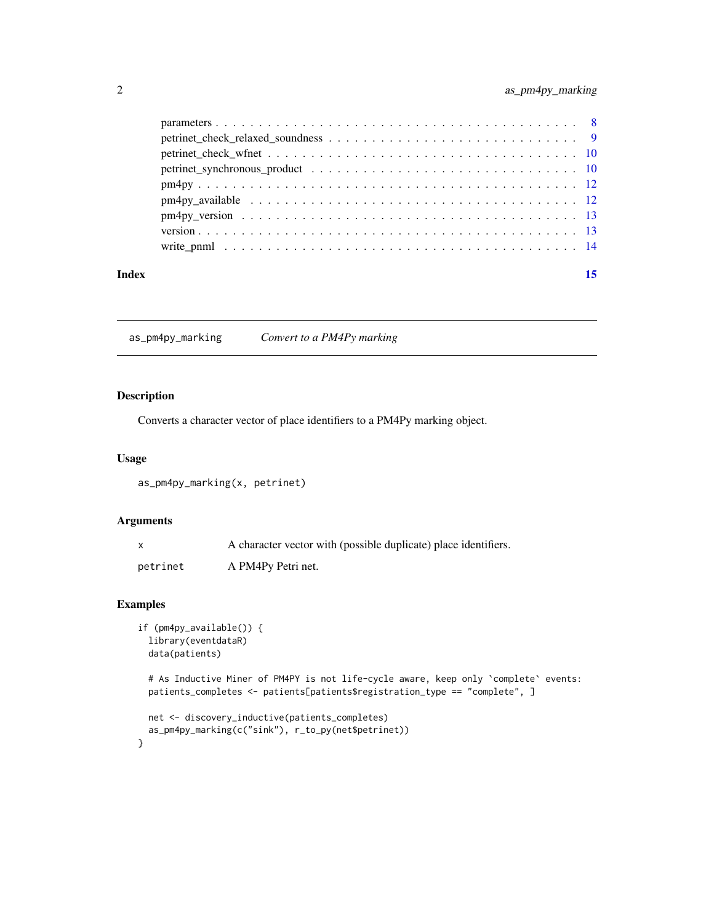<span id="page-1-0"></span>

| Index | 15 |
|-------|----|
|       |    |
|       |    |
|       |    |
|       |    |
|       |    |
|       |    |
|       |    |
|       |    |
|       |    |

as\_pm4py\_marking *Convert to a PM4Py marking*

# Description

Converts a character vector of place identifiers to a PM4Py marking object.

#### Usage

as\_pm4py\_marking(x, petrinet)

#### Arguments

|          | A character vector with (possible duplicate) place identifiers. |
|----------|-----------------------------------------------------------------|
| petrinet | A PM4Py Petri net.                                              |

# Examples

```
if (pm4py_available()) {
 library(eventdataR)
 data(patients)
```
# As Inductive Miner of PM4PY is not life-cycle aware, keep only `complete` events: patients\_completes <- patients[patients\$registration\_type == "complete", ]

```
net <- discovery_inductive(patients_completes)
 as_pm4py_marking(c("sink"), r_to_py(net$petrinet))
}
```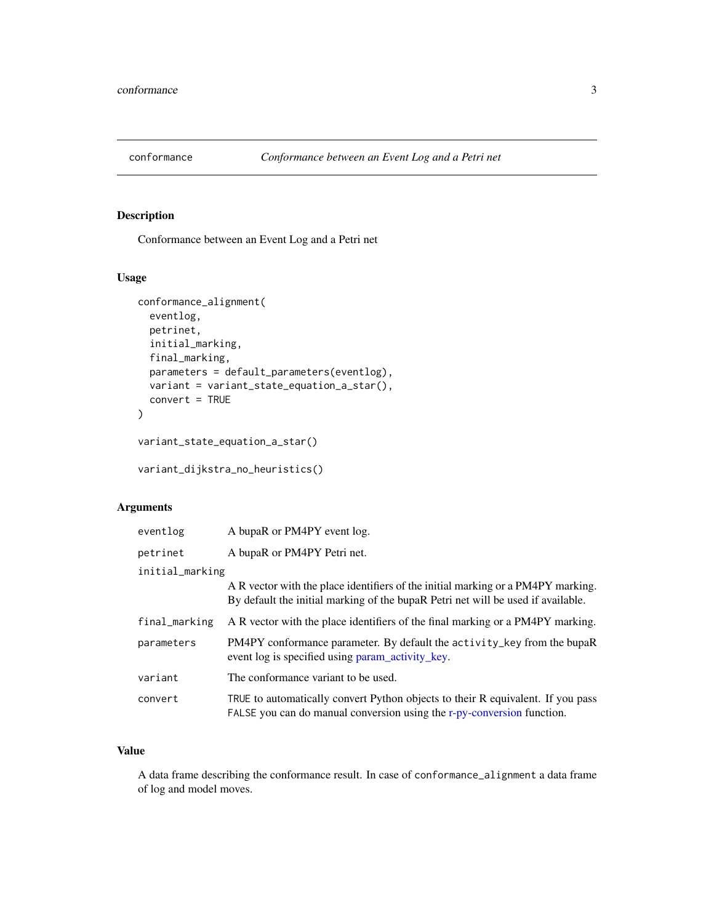<span id="page-2-0"></span>

Conformance between an Event Log and a Petri net

#### Usage

```
conformance_alignment(
  eventlog,
 petrinet,
  initial_marking,
  final_marking,
 parameters = default_parameters(eventlog),
  variant = variant_state_equation_a_star(),
  convert = TRUE
)
variant_state_equation_a_star()
```
variant\_dijkstra\_no\_heuristics()

# Arguments

| eventlog        | A bupaR or PM4PY event log.                                                                                                                                           |
|-----------------|-----------------------------------------------------------------------------------------------------------------------------------------------------------------------|
| petrinet        | A bupaR or PM4PY Petri net.                                                                                                                                           |
| initial_marking |                                                                                                                                                                       |
|                 | A R vector with the place identifiers of the initial marking or a PM4PY marking.<br>By default the initial marking of the bupark Petri net will be used if available. |
| final_marking   | A R vector with the place identifiers of the final marking or a PM4PY marking.                                                                                        |
| parameters      | PM4PY conformance parameter. By default the activity_key from the bupaR<br>event log is specified using param_activity_key.                                           |
| variant         | The conformance variant to be used.                                                                                                                                   |
| convert         | TRUE to automatically convert Python objects to their R equivalent. If you pass<br>FALSE you can do manual conversion using the r-py-conversion function.             |

# Value

A data frame describing the conformance result. In case of conformance\_alignment a data frame of log and model moves.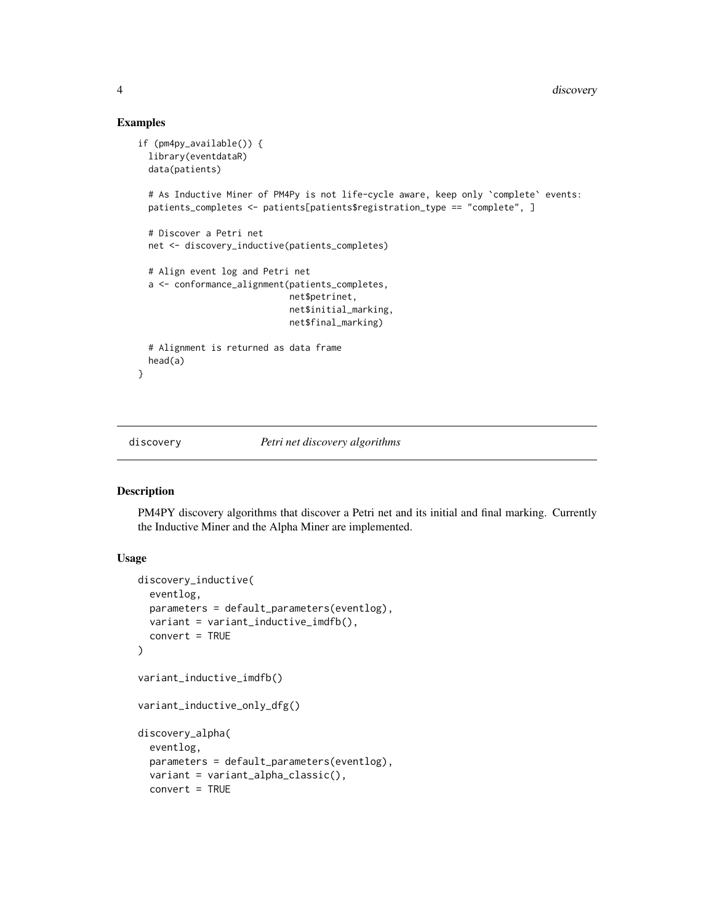#### Examples

```
if (pm4py_available()) {
 library(eventdataR)
 data(patients)
 # As Inductive Miner of PM4Py is not life-cycle aware, keep only `complete` events:
 patients_completes <- patients[patients$registration_type == "complete", ]
 # Discover a Petri net
 net <- discovery_inductive(patients_completes)
 # Align event log and Petri net
 a <- conformance_alignment(patients_completes,
                             net$petrinet,
                             net$initial_marking,
                             net$final_marking)
 # Alignment is returned as data frame
 head(a)
}
```
discovery *Petri net discovery algorithms*

#### Description

PM4PY discovery algorithms that discover a Petri net and its initial and final marking. Currently the Inductive Miner and the Alpha Miner are implemented.

#### Usage

```
discovery_inductive(
  eventlog,
  parameters = default_parameters(eventlog),
  variant = variant_inductive_imdfb(),
  convert = TRUE
)
variant_inductive_imdfb()
variant_inductive_only_dfg()
discovery_alpha(
  eventlog,
  parameters = default_parameters(eventlog),
  variant = variant_alpha_classic(),
  convert = TRUE
```
<span id="page-3-0"></span>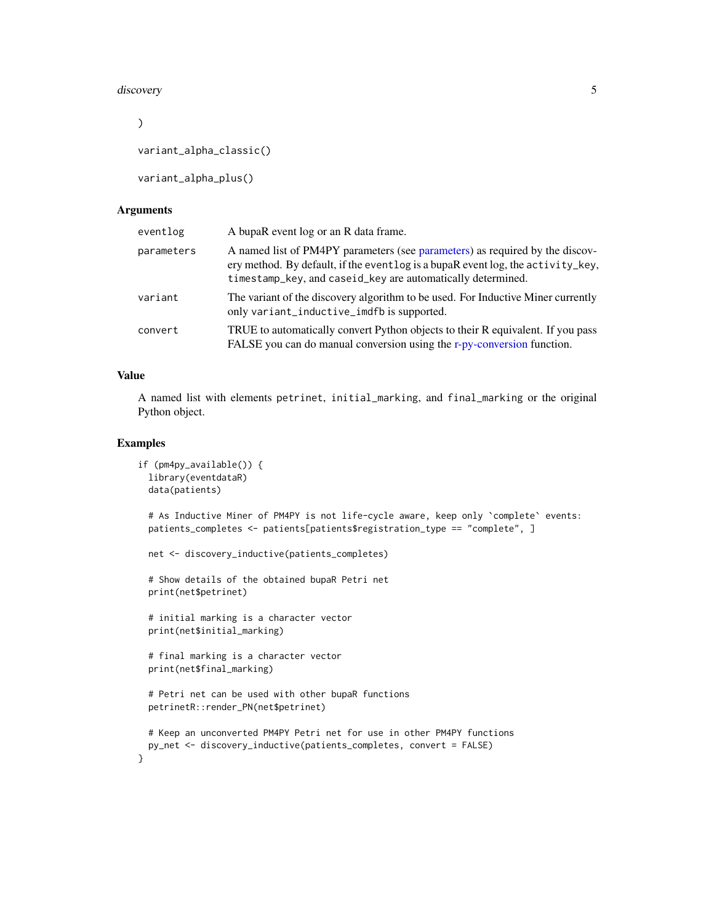#### <span id="page-4-0"></span>discovery 50 and 50 and 50 and 50 and 50 and 50 and 50 and 50 and 50 and 50 and 50 and 50 and 50 and 50 and 50 and 50 and 50 and 50 and 50 and 50 and 50 and 50 and 50 and 50 and 50 and 50 and 50 and 50 and 50 and 50 and 50

```
\mathcal{L}
```
variant\_alpha\_classic()

variant\_alpha\_plus()

#### **Arguments**

| eventlog   | A bupaR event log or an R data frame.                                                                                                                                                                                         |
|------------|-------------------------------------------------------------------------------------------------------------------------------------------------------------------------------------------------------------------------------|
| parameters | A named list of PM4PY parameters (see parameters) as required by the discov-<br>ery method. By default, if the eventlog is a bupaR eventlog, the activity_key,<br>timestamp_key, and caseid_key are automatically determined. |
| variant    | The variant of the discovery algorithm to be used. For Inductive Miner currently<br>only variant_inductive_imdfb is supported.                                                                                                |
| convert    | TRUE to automatically convert Python objects to their R equivalent. If you pass<br>FALSE you can do manual conversion using the r-py-conversion function.                                                                     |

#### Value

A named list with elements petrinet, initial\_marking, and final\_marking or the original Python object.

# Examples

}

```
if (pm4py_available()) {
 library(eventdataR)
 data(patients)
 # As Inductive Miner of PM4PY is not life-cycle aware, keep only `complete` events:
 patients_completes <- patients[patients$registration_type == "complete", ]
 net <- discovery_inductive(patients_completes)
 # Show details of the obtained bupaR Petri net
 print(net$petrinet)
 # initial marking is a character vector
 print(net$initial_marking)
 # final marking is a character vector
 print(net$final_marking)
 # Petri net can be used with other bupaR functions
 petrinetR::render_PN(net$petrinet)
 # Keep an unconverted PM4PY Petri net for use in other PM4PY functions
 py_net <- discovery_inductive(patients_completes, convert = FALSE)
```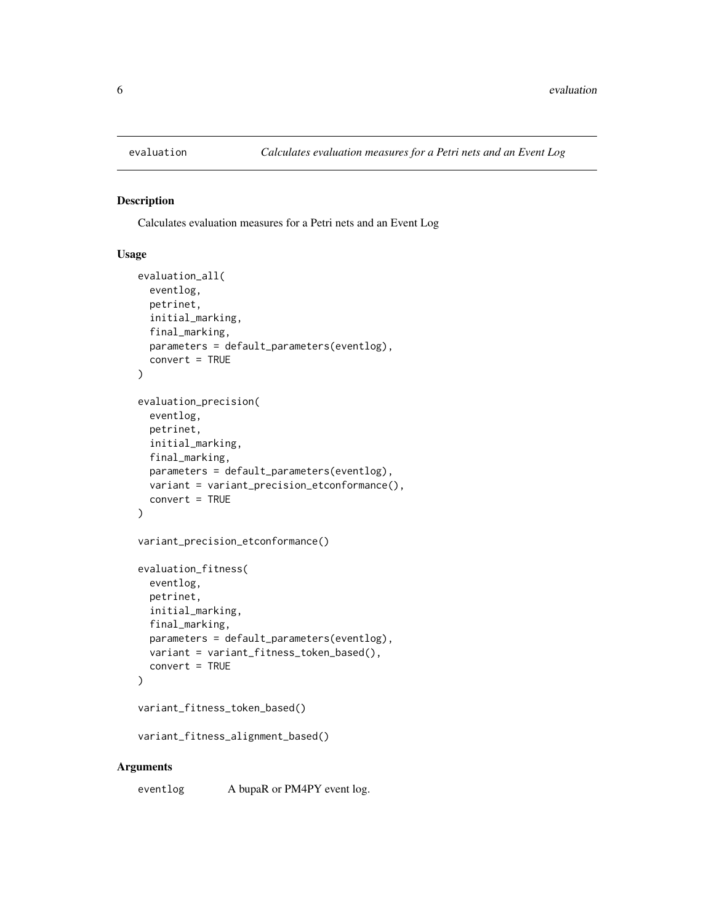<span id="page-5-0"></span>

Calculates evaluation measures for a Petri nets and an Event Log

#### Usage

```
evaluation_all(
  eventlog,
 petrinet,
  initial_marking,
  final_marking,
  parameters = default_parameters(eventlog),
  convert = TRUE
)
evaluation_precision(
  eventlog,
  petrinet,
  initial_marking,
  final_marking,
  parameters = default_parameters(eventlog),
  variant = variant_precision_etconformance(),
  convert = TRUE
)
variant_precision_etconformance()
evaluation_fitness(
  eventlog,
  petrinet,
  initial_marking,
  final_marking,
  parameters = default_parameters(eventlog),
  variant = variant_fitness_token_based(),
  convert = TRUE)
variant_fitness_token_based()
```
#### variant\_fitness\_alignment\_based()

#### Arguments

eventlog A bupaR or PM4PY eventlog.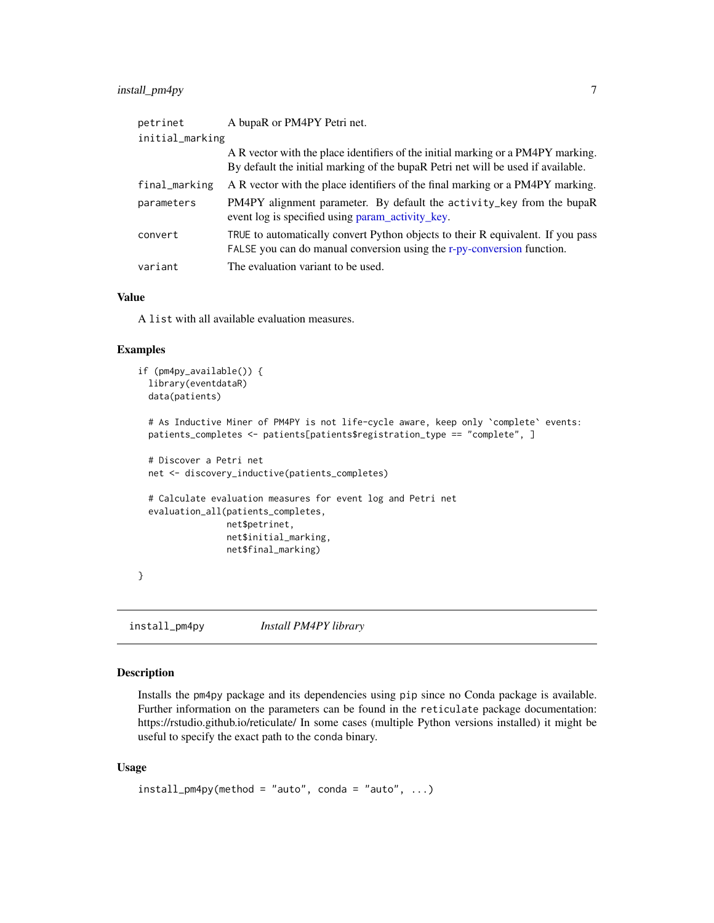# <span id="page-6-0"></span>install\_pm4py 7

| petrinet        | A bupaR or PM4PY Petri net.                                                                                                                                          |
|-----------------|----------------------------------------------------------------------------------------------------------------------------------------------------------------------|
| initial_marking |                                                                                                                                                                      |
|                 | A R vector with the place identifiers of the initial marking or a PM4PY marking.<br>By default the initial marking of the bupaR Petri net will be used if available. |
| final_marking   | A R vector with the place identifiers of the final marking or a PM4PY marking.                                                                                       |
| parameters      | PM4PY alignment parameter. By default the activity_key from the bupaR<br>event log is specified using param_activity_key.                                            |
| convert         | TRUE to automatically convert Python objects to their R equivalent. If you pass<br>FALSE you can do manual conversion using the r-py-conversion function.            |
| variant         | The evaluation variant to be used.                                                                                                                                   |

#### Value

A list with all available evaluation measures.

#### Examples

```
if (pm4py_available()) {
 library(eventdataR)
 data(patients)
 # As Inductive Miner of PM4PY is not life-cycle aware, keep only `complete` events:
 patients_completes <- patients[patients$registration_type == "complete", ]
 # Discover a Petri net
 net <- discovery_inductive(patients_completes)
 # Calculate evaluation measures for event log and Petri net
 evaluation_all(patients_completes,
                 net$petrinet,
                 net$initial_marking,
                 net$final_marking)
}
```
<span id="page-6-1"></span>install\_pm4py *Install PM4PY library*

# Description

Installs the pm4py package and its dependencies using pip since no Conda package is available. Further information on the parameters can be found in the reticulate package documentation: https://rstudio.github.io/reticulate/ In some cases (multiple Python versions installed) it might be useful to specify the exact path to the conda binary.

#### Usage

```
install\_pm4py(method = "auto", conda = "auto", ...)
```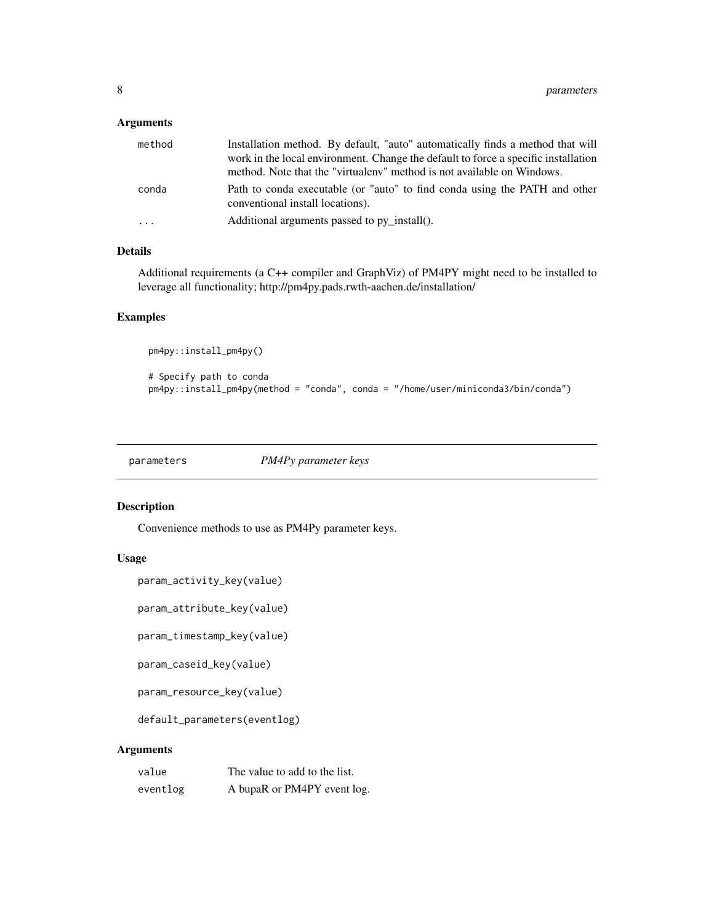# <span id="page-7-0"></span>Arguments

| method | Installation method. By default, "auto" automatically finds a method that will<br>work in the local environment. Change the default to force a specific installation<br>method. Note that the "virtualeny" method is not available on Windows. |
|--------|------------------------------------------------------------------------------------------------------------------------------------------------------------------------------------------------------------------------------------------------|
| conda  | Path to conda executable (or "auto" to find conda using the PATH and other<br>conventional install locations).                                                                                                                                 |
| .      | Additional arguments passed to py install().                                                                                                                                                                                                   |

### Details

Additional requirements (a C++ compiler and GraphViz) of PM4PY might need to be installed to leverage all functionality; http://pm4py.pads.rwth-aachen.de/installation/

#### Examples

```
pm4py::install_pm4py()
# Specify path to conda
pm4py::install_pm4py(method = "conda", conda = "/home/user/miniconda3/bin/conda")
```
<span id="page-7-2"></span>parameters *PM4Py parameter keys*

# <span id="page-7-1"></span>Description

Convenience methods to use as PM4Py parameter keys.

## Usage

```
param_activity_key(value)
```
param\_attribute\_key(value)

param\_timestamp\_key(value)

param\_caseid\_key(value)

param\_resource\_key(value)

default\_parameters(eventlog)

#### Arguments

| value    | The value to add to the list. |
|----------|-------------------------------|
| eventlog | A bupaR or PM4PY event log.   |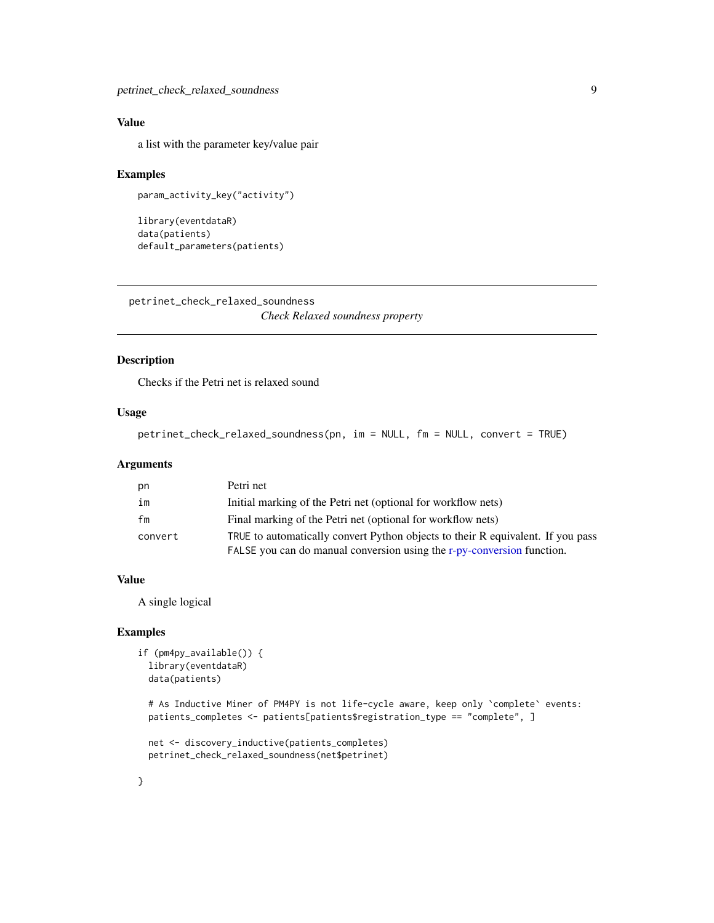# <span id="page-8-0"></span>Value

a list with the parameter key/value pair

#### Examples

```
param_activity_key("activity")
```

```
library(eventdataR)
data(patients)
default_parameters(patients)
```
petrinet\_check\_relaxed\_soundness

*Check Relaxed soundness property*

# Description

Checks if the Petri net is relaxed sound

#### Usage

```
petrinet_check_relaxed_soundness(pn, im = NULL, fm = NULL, convert = TRUE)
```
#### Arguments

| pn      | Petri net                                                                       |
|---------|---------------------------------------------------------------------------------|
| im      | Initial marking of the Petri net (optional for workflow nets)                   |
| fm      | Final marking of the Petri net (optional for workflow nets)                     |
| convert | TRUE to automatically convert Python objects to their R equivalent. If you pass |
|         | FALSE you can do manual conversion using the r-py-conversion function.          |

#### Value

A single logical

#### Examples

```
if (pm4py_available()) {
 library(eventdataR)
 data(patients)
```

```
# As Inductive Miner of PM4PY is not life-cycle aware, keep only `complete` events:
patients_completes <- patients[patients$registration_type == "complete", ]
```

```
net <- discovery_inductive(patients_completes)
petrinet_check_relaxed_soundness(net$petrinet)
```
}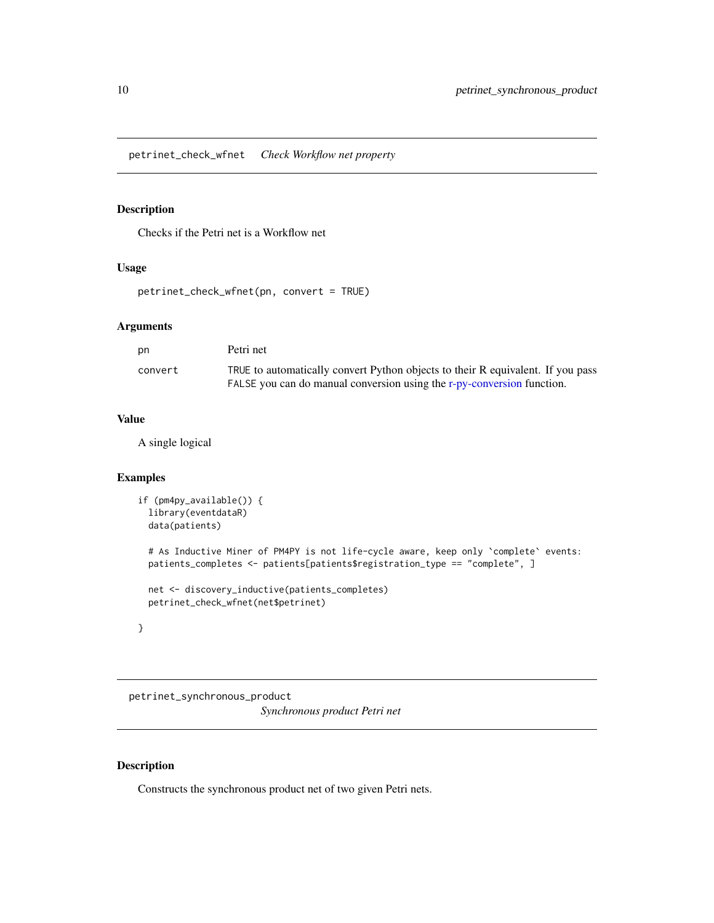<span id="page-9-0"></span>petrinet\_check\_wfnet *Check Workflow net property*

# Description

Checks if the Petri net is a Workflow net

# Usage

petrinet\_check\_wfnet(pn, convert = TRUE)

# Arguments

| pn      | Petri net                                                                       |
|---------|---------------------------------------------------------------------------------|
| convert | TRUE to automatically convert Python objects to their R equivalent. If you pass |
|         | FALSE you can do manual conversion using the r-py-conversion function.          |

### Value

A single logical

# Examples

```
if (pm4py_available()) {
 library(eventdataR)
 data(patients)
 # As Inductive Miner of PM4PY is not life-cycle aware, keep only `complete` events:
 patients_completes <- patients[patients$registration_type == "complete", ]
 net <- discovery_inductive(patients_completes)
 petrinet_check_wfnet(net$petrinet)
}
```
petrinet\_synchronous\_product *Synchronous product Petri net*

# Description

Constructs the synchronous product net of two given Petri nets.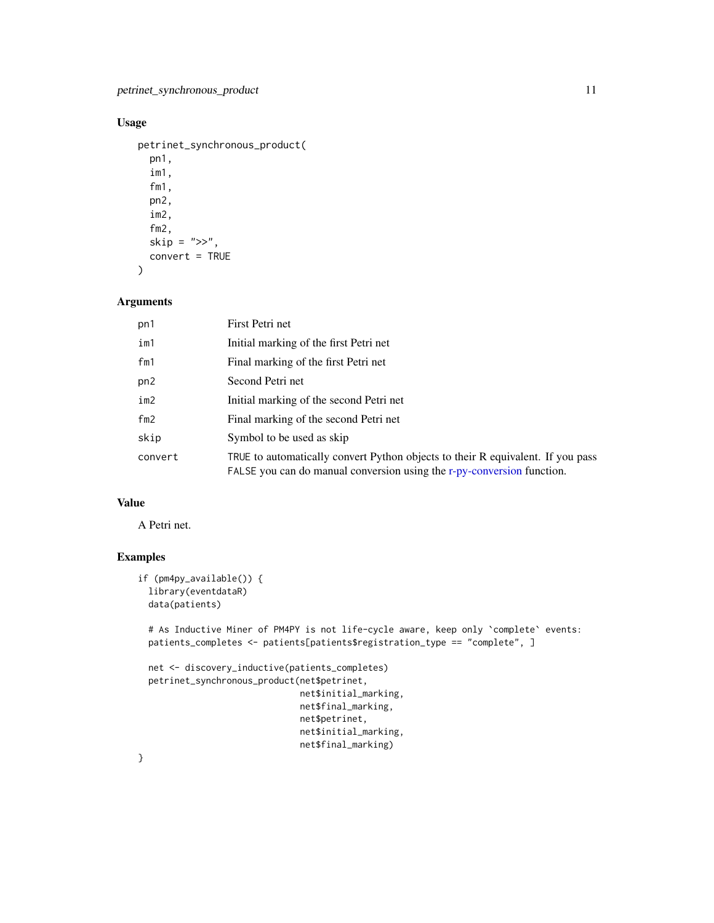# <span id="page-10-0"></span>Usage

```
petrinet_synchronous_product(
  pn1,
  im1,
  fm1,
 pn2,
  im2,
  fm2,
  skip = ">>",
 convert = TRUE
```

```
)
```
# Arguments

| pn1     | First Petri net                                                                                                                                           |
|---------|-----------------------------------------------------------------------------------------------------------------------------------------------------------|
| im1     | Initial marking of the first Petri net                                                                                                                    |
| fm1     | Final marking of the first Petri net                                                                                                                      |
| pn2     | Second Petri net                                                                                                                                          |
| im2     | Initial marking of the second Petri net                                                                                                                   |
| fm2     | Final marking of the second Petri net                                                                                                                     |
| skip    | Symbol to be used as skip                                                                                                                                 |
| convert | TRUE to automatically convert Python objects to their R equivalent. If you pass<br>FALSE you can do manual conversion using the r-py-conversion function. |

# Value

A Petri net.

# Examples

```
if (pm4py_available()) {
  library(eventdataR)
  data(patients)
  # As Inductive Miner of PM4PY is not life-cycle aware, keep only `complete` events:
  patients_completes <- patients[patients$registration_type == "complete", ]
  net <- discovery_inductive(patients_completes)
  petrinet_synchronous_product(net$petrinet,
                               net$initial_marking,
                               net$final_marking,
                               net$petrinet,
                               net$initial_marking,
                               net$final_marking)
```
}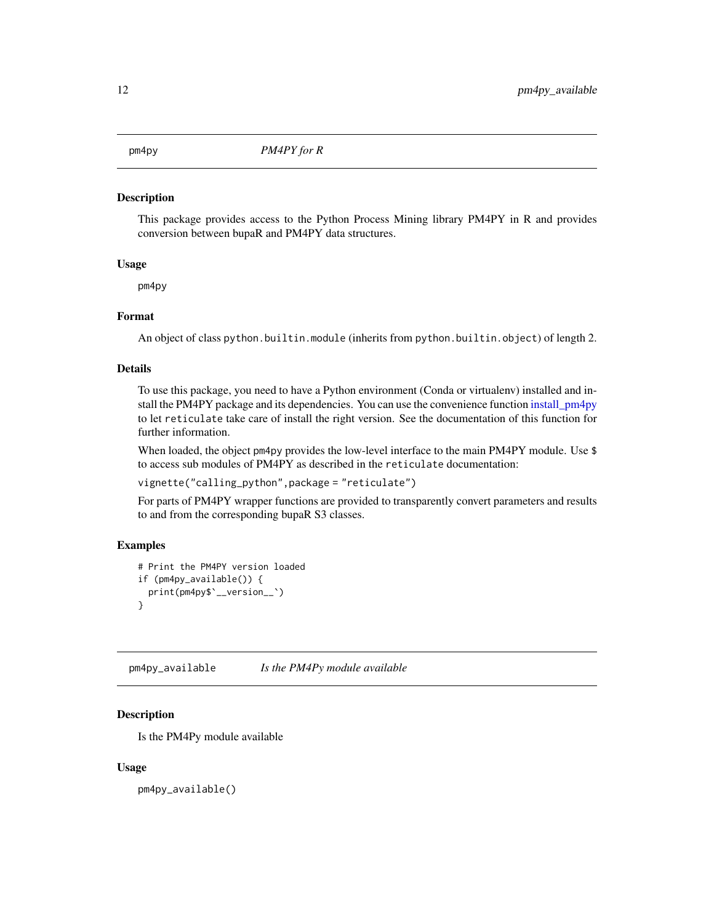<span id="page-11-0"></span>

This package provides access to the Python Process Mining library PM4PY in R and provides conversion between bupaR and PM4PY data structures.

#### Usage

pm4py

#### Format

An object of class python.builtin.module (inherits from python.builtin.object) of length 2.

#### Details

To use this package, you need to have a Python environment (Conda or virtualenv) installed and install the PM4PY package and its dependencies. You can use the convenience function [install\\_pm4py](#page-6-1) to let reticulate take care of install the right version. See the documentation of this function for further information.

When loaded, the object pm4py provides the low-level interface to the main PM4PY module. Use \$ to access sub modules of PM4PY as described in the reticulate documentation:

vignette("calling\_python",package = "reticulate")

For parts of PM4PY wrapper functions are provided to transparently convert parameters and results to and from the corresponding bupaR S3 classes.

# Examples

```
# Print the PM4PY version loaded
if (pm4py_available()) {
 print(pm4py$`__version__`)
}
```
pm4py\_available *Is the PM4Py module available*

### Description

Is the PM4Py module available

#### Usage

pm4py\_available()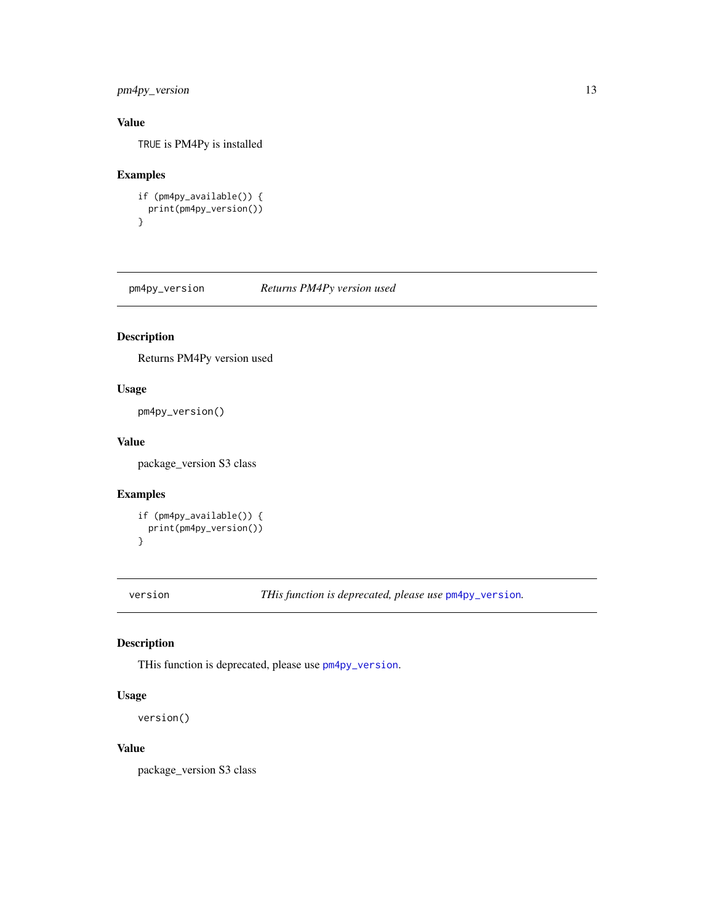# <span id="page-12-0"></span>pm4py\_version 13

# Value

TRUE is PM4Py is installed

# Examples

```
if (pm4py_available()) {
 print(pm4py_version())
}
```
<span id="page-12-1"></span>pm4py\_version *Returns PM4Py version used*

# Description

Returns PM4Py version used

#### Usage

pm4py\_version()

# Value

package\_version S3 class

#### Examples

```
if (pm4py_available()) {
 print(pm4py_version())
}
```
version *THis function is deprecated, please use* [pm4py\\_version](#page-12-1)*.*

# Description

THis function is deprecated, please use [pm4py\\_version](#page-12-1).

# Usage

version()

# Value

package\_version S3 class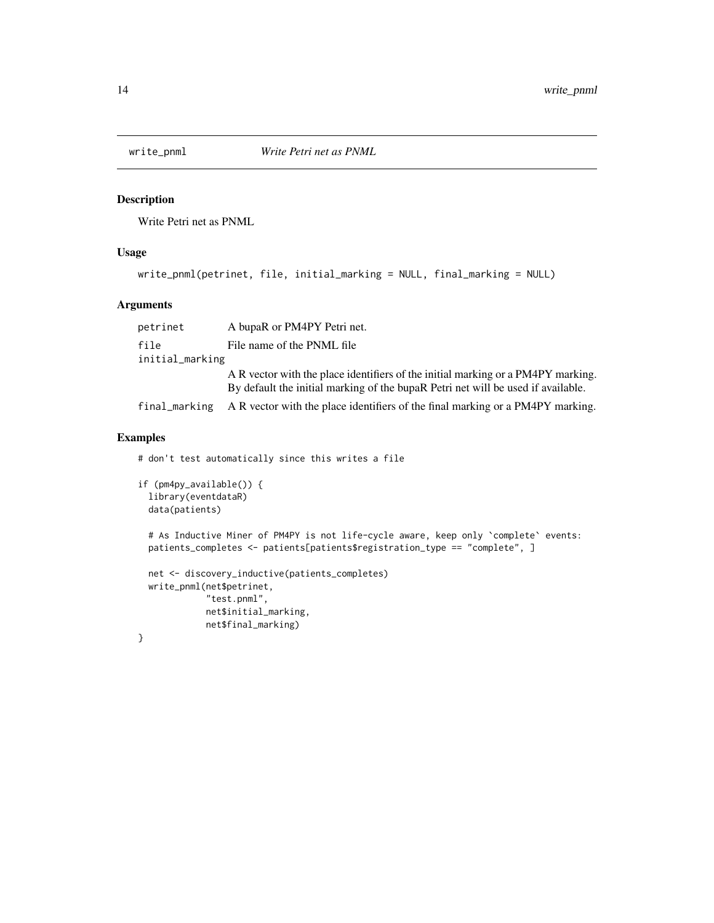<span id="page-13-0"></span>

Write Petri net as PNML

#### Usage

```
write_pnml(petrinet, file, initial_marking = NULL, final_marking = NULL)
```
#### **Arguments**

petrinet A bupaR or PM4PY Petri net. file File name of the PNML file initial\_marking A R vector with the place identifiers of the initial marking or a PM4PY marking. By default the initial marking of the bupaR Petri net will be used if available. final\_marking A R vector with the place identifiers of the final marking or a PM4PY marking.

#### Examples

```
# don't test automatically since this writes a file
if (pm4py_available()) {
 library(eventdataR)
 data(patients)
 # As Inductive Miner of PM4PY is not life-cycle aware, keep only `complete` events:
 patients_completes <- patients[patients$registration_type == "complete", ]
 net <- discovery_inductive(patients_completes)
 write_pnml(net$petrinet,
             "test.pnml",
             net$initial_marking,
             net$final_marking)
}
```